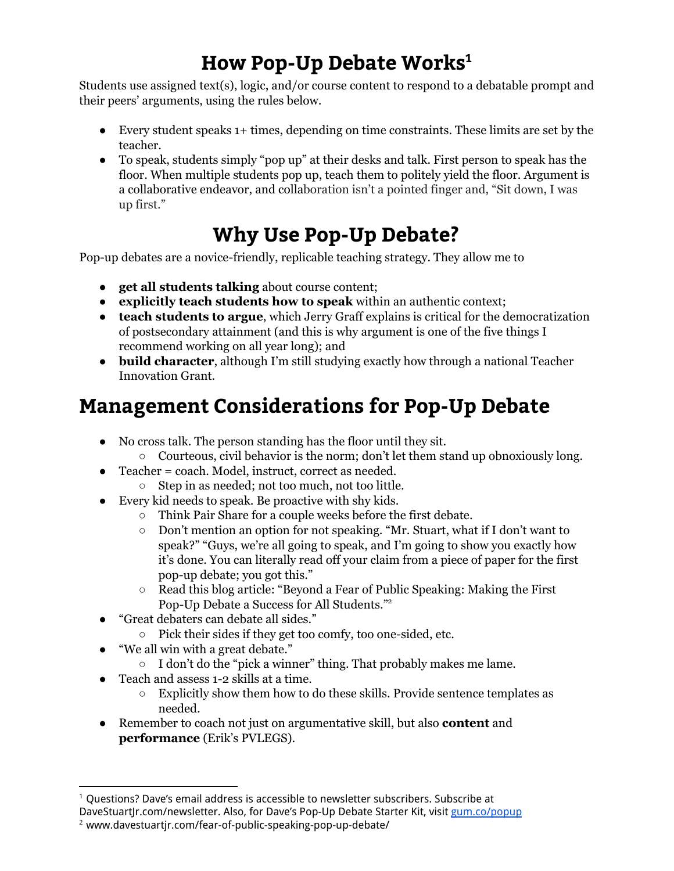## **How Pop-Up Debate Works 1**

Students use assigned text(s), logic, and/or course content to respond to a debatable prompt and their peers' arguments, using the rules below.

- Every student speaks 1+ times, depending on time constraints. These limits are set by the teacher.
- To speak, students simply "pop up" at their desks and talk. First person to speak has the floor. When multiple students pop up, teach them to politely yield the floor. Argument is a collaborative endeavor, and collaboration isn't a pointed finger and, "Sit down, I was up first."

## **Why Use Pop-Up Debate?**

Pop-up debates are a novice-friendly, replicable teaching strategy. They allow me to

- **get all students talking** about course content;
- **explicitly teach students how to speak** within an authentic context;
- **teach students to argue**, which Jerry Graff explains is critical for the democratization of postsecondary attainment (and this is why argument is one of the five things I recommend working on all year long); and
- **build character**, although I'm still studying exactly how through a national Teacher Innovation Grant.

## **Management Considerations for Pop-Up Debate**

- No cross talk. The person standing has the floor until they sit.
	- $\circ$  Courteous, civil behavior is the norm; don't let them stand up obnoxiously long.
- Teacher = coach. Model, instruct, correct as needed.
- Step in as needed; not too much, not too little.
- Every kid needs to speak. Be proactive with shy kids.
	- Think Pair Share for a couple weeks before the first debate.
	- Don't mention an option for not speaking. "Mr. Stuart, what if I don't want to speak?" "Guys, we're all going to speak, and I'm going to show you exactly how it's done. You can literally read off your claim from a piece of paper for the first pop-up debate; you got this."
	- Read this blog article: "Beyond a Fear of Public Speaking: Making the First Pop-Up Debate a Success for All Students."<sup>2</sup>
- "Great debaters can debate all sides."
	- Pick their sides if they get too comfy, too one-sided, etc.
- "We all win with a great debate."
	- $\circ$  I don't do the "pick a winner" thing. That probably makes me lame.
- Teach and assess 1-2 skills at a time.
	- $\circ$  Explicitly show them how to do these skills. Provide sentence templates as needed.
- Remember to coach not just on argumentative skill, but also **content** and **performance** (Erik's PVLEGS).

<sup>&</sup>lt;sup>1</sup> Questions? Dave's email address is accessible to newsletter subscribers. Subscribe at

DaveStuart|r.com/newsletter. Also, for Dave's Pop-Up Debate Starter Kit, visit [gum.co/popup](https://gumroad.com/l/popup)

<sup>&</sup>lt;sup>2</sup> www.davestuartjr.com/fear-of-public-speaking-pop-up-debate/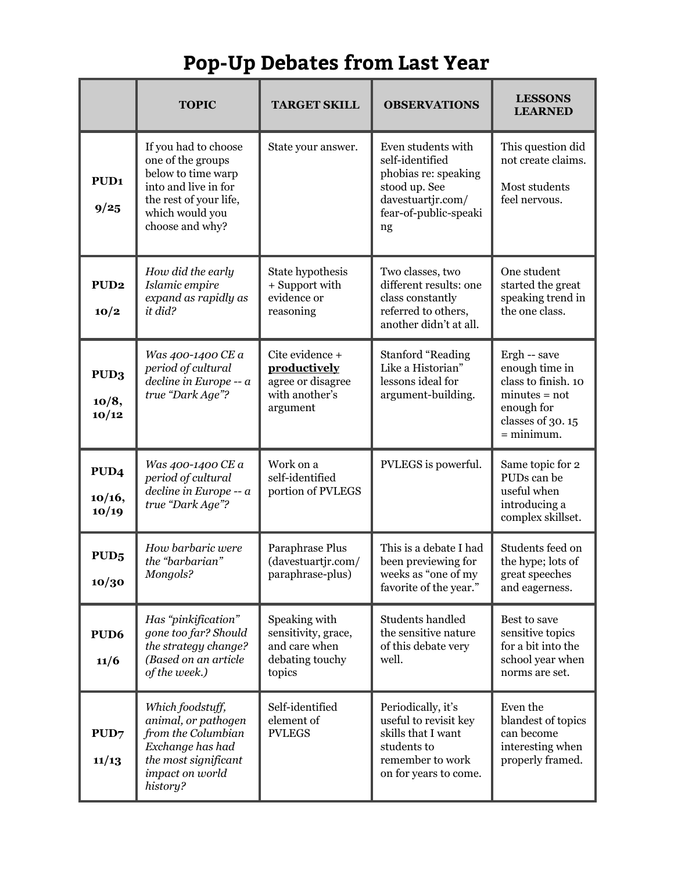## **Pop-Up Debates from Last Year**

|                                     | <b>TOPIC</b>                                                                                                                                            | <b>TARGET SKILL</b>                                                                | <b>OBSERVATIONS</b>                                                                                                                | <b>LESSONS</b><br><b>LEARNED</b>                                                                                           |
|-------------------------------------|---------------------------------------------------------------------------------------------------------------------------------------------------------|------------------------------------------------------------------------------------|------------------------------------------------------------------------------------------------------------------------------------|----------------------------------------------------------------------------------------------------------------------------|
| PUD <sub>1</sub><br>9/25            | If you had to choose<br>one of the groups<br>below to time warp<br>into and live in for<br>the rest of your life,<br>which would you<br>choose and why? | State your answer.                                                                 | Even students with<br>self-identified<br>phobias re: speaking<br>stood up. See<br>davestuartjr.com/<br>fear-of-public-speaki<br>ng | This question did<br>not create claims.<br>Most students<br>feel nervous.                                                  |
| PUD <sub>2</sub><br>10/2            | How did the early<br>Islamic empire<br>expand as rapidly as<br>it did?                                                                                  | State hypothesis<br>+ Support with<br>evidence or<br>reasoning                     | Two classes, two<br>different results: one<br>class constantly<br>referred to others,<br>another didn't at all.                    | One student<br>started the great<br>speaking trend in<br>the one class.                                                    |
| PUD3<br>10/8,<br>10/12              | Was 400-1400 CE a<br>period of cultural<br>decline in Europe -- a<br>true "Dark Age"?                                                                   | Cite evidence +<br>productively<br>agree or disagree<br>with another's<br>argument | <b>Stanford "Reading</b><br>Like a Historian"<br>lessons ideal for<br>argument-building.                                           | Ergh -- save<br>enough time in<br>class to finish. 10<br>$minutes = not$<br>enough for<br>classes of 30.15<br>$=$ minimum. |
| PUD <sub>4</sub><br>10/16,<br>10/19 | Was 400-1400 CE a<br>period of cultural<br>decline in Europe -- a<br>true "Dark Age"?                                                                   | Work on a<br>self-identified<br>portion of PVLEGS                                  | PVLEGS is powerful.                                                                                                                | Same topic for 2<br>PUDs can be<br>useful when<br>introducing a<br>complex skillset.                                       |
| PUD <sub>5</sub><br>10/30           | How barbaric were<br>the "barbarian"<br>Mongols?                                                                                                        | Paraphrase Plus<br>(davestuartjr.com/<br>paraphrase-plus)                          | This is a debate I had<br>been previewing for<br>weeks as "one of my<br>favorite of the year."                                     | Students feed on<br>the hype; lots of<br>great speeches<br>and eagerness.                                                  |
| PUD <sub>6</sub><br>11/6            | Has "pinkification"<br>gone too far? Should<br>the strategy change?<br>(Based on an article<br>of the week.)                                            | Speaking with<br>sensitivity, grace,<br>and care when<br>debating touchy<br>topics | Students handled<br>the sensitive nature<br>of this debate very<br>well.                                                           | Best to save<br>sensitive topics<br>for a bit into the<br>school year when<br>norms are set.                               |
| PUD7<br>11/13                       | Which foodstuff,<br>animal, or pathogen<br>from the Columbian<br>Exchange has had<br>the most significant<br>impact on world<br>history?                | Self-identified<br>element of<br><b>PVLEGS</b>                                     | Periodically, it's<br>useful to revisit key<br>skills that I want<br>students to<br>remember to work<br>on for years to come.      | Even the<br>blandest of topics<br>can become<br>interesting when<br>properly framed.                                       |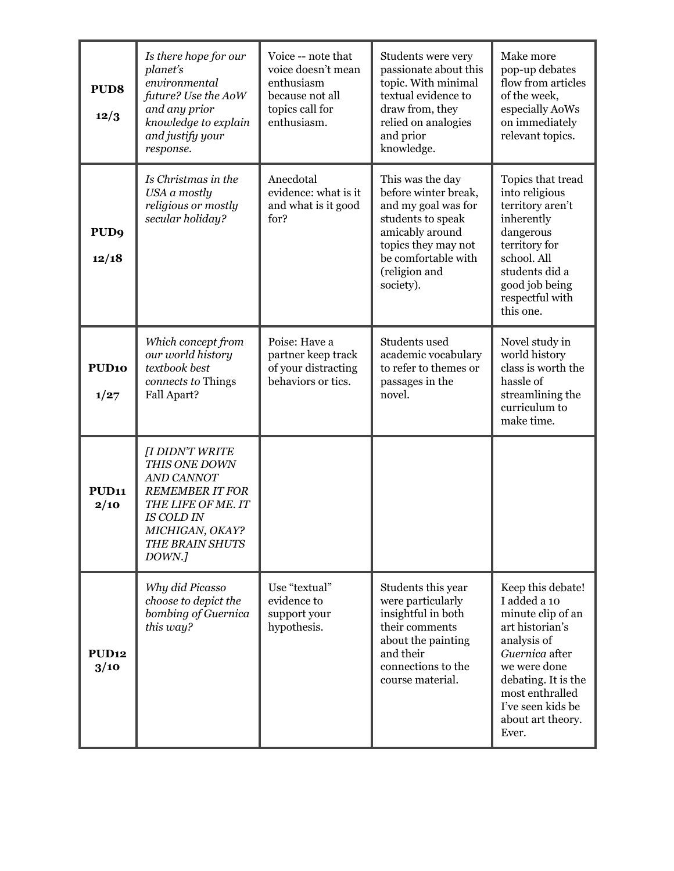| PUD <sub>8</sub><br>12/3  | Is there hope for our<br>planet's<br>environmental<br>future? Use the AoW<br>and any prior<br>knowledge to explain<br>and justify your<br>response.                 | Voice -- note that<br>voice doesn't mean<br>enthusiasm<br>because not all<br>topics call for<br>enthusiasm. | Students were very<br>passionate about this<br>topic. With minimal<br>textual evidence to<br>draw from, they<br>relied on analogies<br>and prior<br>knowledge.                      | Make more<br>pop-up debates<br>flow from articles<br>of the week,<br>especially AoWs<br>on immediately<br>relevant topics.                                                                                              |
|---------------------------|---------------------------------------------------------------------------------------------------------------------------------------------------------------------|-------------------------------------------------------------------------------------------------------------|-------------------------------------------------------------------------------------------------------------------------------------------------------------------------------------|-------------------------------------------------------------------------------------------------------------------------------------------------------------------------------------------------------------------------|
| PUD <sub>9</sub><br>12/18 | Is Christmas in the<br>USA a mostly<br>religious or mostly<br>secular holiday?                                                                                      | Anecdotal<br>evidence: what is it<br>and what is it good<br>for?                                            | This was the day<br>before winter break,<br>and my goal was for<br>students to speak<br>amicably around<br>topics they may not<br>be comfortable with<br>(religion and<br>society). | Topics that tread<br>into religious<br>territory aren't<br>inherently<br>dangerous<br>territory for<br>school. All<br>students did a<br>good job being<br>respectful with<br>this one.                                  |
| PUD <sub>10</sub><br>1/27 | Which concept from<br>our world history<br>textbook best<br>connects to Things<br>Fall Apart?                                                                       | Poise: Have a<br>partner keep track<br>of your distracting<br>behaviors or tics.                            | Students used<br>academic vocabulary<br>to refer to themes or<br>passages in the<br>novel.                                                                                          | Novel study in<br>world history<br>class is worth the<br>hassle of<br>streamlining the<br>curriculum to<br>make time.                                                                                                   |
| PUD <sub>11</sub><br>2/10 | [I DIDN'T WRITE<br>THIS ONE DOWN<br>AND CANNOT<br><b>REMEMBER IT FOR</b><br>THE LIFE OF ME. IT<br><b>IS COLD IN</b><br>MICHIGAN, OKAY?<br>THE BRAIN SHUTS<br>DOWN.] |                                                                                                             |                                                                                                                                                                                     |                                                                                                                                                                                                                         |
| <b>PUD12</b><br>3/10      | Why did Picasso<br>choose to depict the<br>bombing of Guernica<br>this way?                                                                                         | Use "textual"<br>evidence to<br>support your<br>hypothesis.                                                 | Students this year<br>were particularly<br>insightful in both<br>their comments<br>about the painting<br>and their<br>connections to the<br>course material.                        | Keep this debate!<br>I added a 10<br>minute clip of an<br>art historian's<br>analysis of<br>Guernica after<br>we were done<br>debating. It is the<br>most enthralled<br>I've seen kids be<br>about art theory.<br>Ever. |